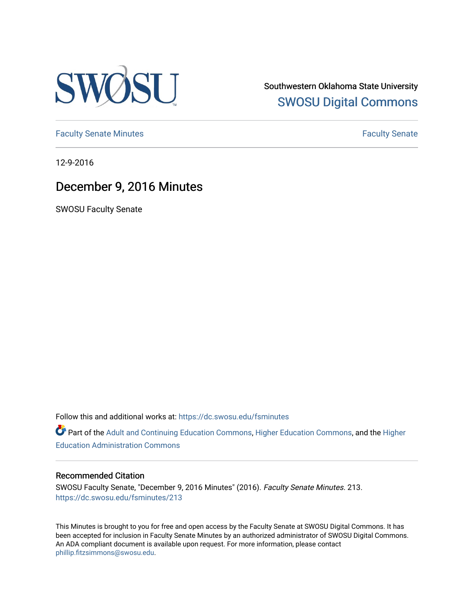

Southwestern Oklahoma State University [SWOSU Digital Commons](https://dc.swosu.edu/) 

[Faculty Senate Minutes](https://dc.swosu.edu/fsminutes) **Faculty** Senate Minutes

12-9-2016

# December 9, 2016 Minutes

SWOSU Faculty Senate

Follow this and additional works at: [https://dc.swosu.edu/fsminutes](https://dc.swosu.edu/fsminutes?utm_source=dc.swosu.edu%2Ffsminutes%2F213&utm_medium=PDF&utm_campaign=PDFCoverPages) 

Part of the [Adult and Continuing Education Commons,](http://network.bepress.com/hgg/discipline/1375?utm_source=dc.swosu.edu%2Ffsminutes%2F213&utm_medium=PDF&utm_campaign=PDFCoverPages) [Higher Education Commons,](http://network.bepress.com/hgg/discipline/1245?utm_source=dc.swosu.edu%2Ffsminutes%2F213&utm_medium=PDF&utm_campaign=PDFCoverPages) and the [Higher](http://network.bepress.com/hgg/discipline/791?utm_source=dc.swosu.edu%2Ffsminutes%2F213&utm_medium=PDF&utm_campaign=PDFCoverPages) [Education Administration Commons](http://network.bepress.com/hgg/discipline/791?utm_source=dc.swosu.edu%2Ffsminutes%2F213&utm_medium=PDF&utm_campaign=PDFCoverPages) 

#### Recommended Citation

SWOSU Faculty Senate, "December 9, 2016 Minutes" (2016). Faculty Senate Minutes. 213. [https://dc.swosu.edu/fsminutes/213](https://dc.swosu.edu/fsminutes/213?utm_source=dc.swosu.edu%2Ffsminutes%2F213&utm_medium=PDF&utm_campaign=PDFCoverPages) 

This Minutes is brought to you for free and open access by the Faculty Senate at SWOSU Digital Commons. It has been accepted for inclusion in Faculty Senate Minutes by an authorized administrator of SWOSU Digital Commons. An ADA compliant document is available upon request. For more information, please contact [phillip.fitzsimmons@swosu.edu](mailto:phillip.fitzsimmons@swosu.edu).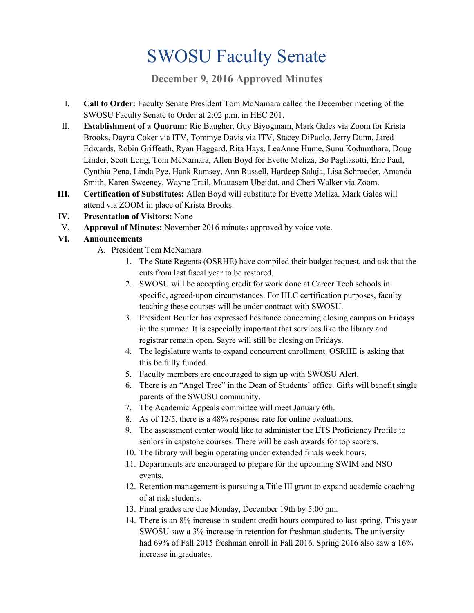# SWOSU Faculty Senate

**December 9, 2016 Approved Minutes**

- I. **Call to Order:** Faculty Senate President Tom McNamara called the December meeting of the SWOSU Faculty Senate to Order at 2:02 p.m. in HEC 201.
- II. **Establishment of a Quorum:** Ric Baugher, Guy Biyogmam, Mark Gales via Zoom for Krista Brooks, Dayna Coker via ITV, Tommye Davis via ITV, Stacey DiPaolo, Jerry Dunn, Jared Edwards, Robin Griffeath, Ryan Haggard, Rita Hays, LeaAnne Hume, Sunu Kodumthara, Doug Linder, Scott Long, Tom McNamara, Allen Boyd for Evette Meliza, Bo Pagliasotti, Eric Paul, Cynthia Pena, Linda Pye, Hank Ramsey, Ann Russell, Hardeep Saluja, Lisa Schroeder, Amanda Smith, Karen Sweeney, Wayne Trail, Muatasem Ubeidat, and Cheri Walker via Zoom.
- **III. Certification of Substitutes:** Allen Boyd will substitute for Evette Meliza. Mark Gales will attend via ZOOM in place of Krista Brooks.
- **IV. Presentation of Visitors:** None
- V. **Approval of Minutes:** November 2016 minutes approved by voice vote.
- **VI. Announcements**
	- A. President Tom McNamara
		- 1. The State Regents (OSRHE) have compiled their budget request, and ask that the cuts from last fiscal year to be restored.
		- 2. SWOSU will be accepting credit for work done at Career Tech schools in specific, agreed-upon circumstances. For HLC certification purposes, faculty teaching these courses will be under contract with SWOSU.
		- 3. President Beutler has expressed hesitance concerning closing campus on Fridays in the summer. It is especially important that services like the library and registrar remain open. Sayre will still be closing on Fridays.
		- 4. The legislature wants to expand concurrent enrollment. OSRHE is asking that this be fully funded.
		- 5. Faculty members are encouraged to sign up with SWOSU Alert.
		- 6. There is an "Angel Tree" in the Dean of Students' office. Gifts will benefit single parents of the SWOSU community.
		- 7. The Academic Appeals committee will meet January 6th.
		- 8. As of 12/5, there is a 48% response rate for online evaluations.
		- 9. The assessment center would like to administer the ETS Proficiency Profile to seniors in capstone courses. There will be cash awards for top scorers.
		- 10. The library will begin operating under extended finals week hours.
		- 11. Departments are encouraged to prepare for the upcoming SWIM and NSO events.
		- 12. Retention management is pursuing a Title III grant to expand academic coaching of at risk students.
		- 13. Final grades are due Monday, December 19th by 5:00 pm.
		- 14. There is an 8% increase in student credit hours compared to last spring. This year SWOSU saw a 3% increase in retention for freshman students. The university had 69% of Fall 2015 freshman enroll in Fall 2016. Spring 2016 also saw a 16% increase in graduates.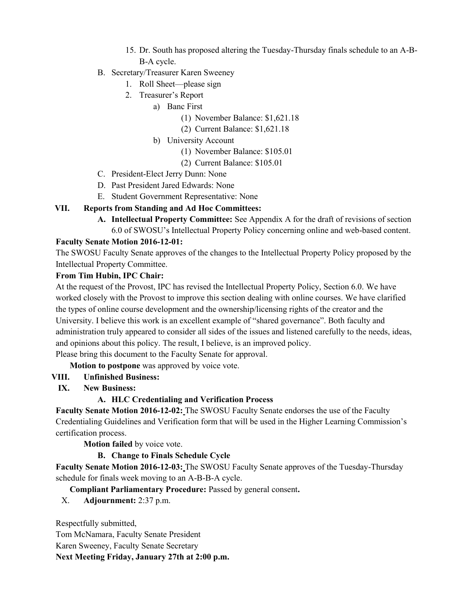- 15. Dr. South has proposed altering the Tuesday-Thursday finals schedule to an A-B-B-A cycle.
- B. Secretary/Treasurer Karen Sweeney
	- 1. Roll Sheet—please sign
	- 2. Treasurer's Report
		- a) Banc First
			- (1) November Balance: \$1,621.18
			- (2) Current Balance: \$1,621.18
		- b) University Account
			- (1) November Balance: \$105.01
			- (2) Current Balance: \$105.01
- C. President-Elect Jerry Dunn: None
- D. Past President Jared Edwards: None
- E. Student Government Representative: None

#### **VII. Reports from Standing and Ad Hoc Committees:**

**A. Intellectual Property Committee:** See Appendix A for the draft of revisions of section 6.0 of SWOSU's Intellectual Property Policy concerning online and web-based content.

#### **Faculty Senate Motion 2016-12-01:**

The SWOSU Faculty Senate approves of the changes to the Intellectual Property Policy proposed by the Intellectual Property Committee.

#### **From Tim Hubin, IPC Chair:**

At the request of the Provost, IPC has revised the Intellectual Property Policy, Section 6.0. We have worked closely with the Provost to improve this section dealing with online courses. We have clarified the types of online course development and the ownership/licensing rights of the creator and the University. I believe this work is an excellent example of "shared governance". Both faculty and administration truly appeared to consider all sides of the issues and listened carefully to the needs, ideas, and opinions about this policy. The result, I believe, is an improved policy. Please bring this document to the Faculty Senate for approval.

**Motion to postpone** was approved by voice vote.

## **VIII. Unfinished Business:**

**IX. New Business:**

## **A. HLC Credentialing and Verification Process**

**Faculty Senate Motion 2016-12-02:** The SWOSU Faculty Senate endorses the use of the Faculty Credentialing Guidelines and Verification form that will be used in the Higher Learning Commission's certification process.

**Motion failed** by voice vote.

## **B. Change to Finals Schedule Cycle**

**Faculty Senate Motion 2016-12-03:** The SWOSU Faculty Senate approves of the Tuesday-Thursday schedule for finals week moving to an A-B-B-A cycle.

**Compliant Parliamentary Procedure:** Passed by general consent**.**

X. **Adjournment:** 2:37 p.m.

Respectfully submitted,

Tom McNamara, Faculty Senate President

Karen Sweeney, Faculty Senate Secretary

**Next Meeting Friday, January 27th at 2:00 p.m.**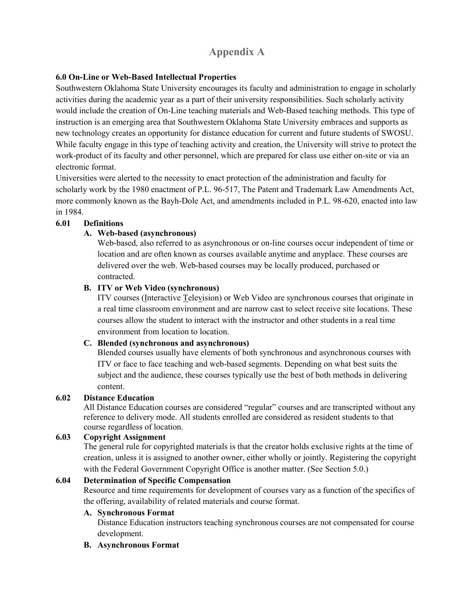# **Appendix A**

# **6.0 On-Line or Web-Based Intellectual Properties**

Southwestern Oklahoma State University encourages its faculty and administration to engage in scholarly activities during the academic year as a part of their university responsibilities. Such scholarly activity would include the creation of On-Line teaching materials and Web-Based teaching methods. This type of instruction is an emerging area that Southwestern Oklahoma State University embraces and supports as new technology creates an opportunity for distance education for current and future students of SWOSU. While faculty engage in this type of teaching activity and creation, the University will strive to protect the work-product of its faculty and other personnel, which are prepared for class use either on-site or via an electronic format.

Universities were alerted to the necessity to enact protection of the administration and faculty for scholarly work by the 1980 enactment of P.L. 96-517, The Patent and Trademark Law Amendments Act, more commonly known as the Bayh-Dole Act, and amendments included in P.L. 98-620, enacted into law in 1984.

# **6.01 Definitions**

# **A. Web-based (asynchronous)**

Web-based, also referred to as asynchronous or on-line courses occur independent of time or location and are often known as courses available anytime and anyplace. These courses are delivered over the web. Web-based courses may be locally produced, purchased or contracted.

## **B. ITV or Web Video (synchronous)**

ITV courses (Interactive Television) or Web Video are synchronous courses that originate in a real time classroom environment and are narrow cast to select receive site locations. These courses allow the student to interact with the instructor and other students in a real time environment from location to location.

## **C. Blended (synchronous and asynchronous)**

Blended courses usually have elements of both synchronous and asynchronous courses with ITV or face to face teaching and web-based segments. Depending on what best suits the subject and the audience, these courses typically use the best of both methods in delivering content.

## **6.02 Distance Education**

All Distance Education courses are considered "regular" courses and are transcripted without any reference to delivery mode. All students enrolled are considered as resident students to that course regardless of location.

## **6.03 Copyright Assignment**

The general rule for copyrighted materials is that the creator holds exclusive rights at the time of creation, unless it is assigned to another owner, either wholly or jointly. Registering the copyright with the Federal Government Copyright Office is another matter. (See Section 5.0.)

## **6.04 Determination of Specific Compensation**

Resource and time requirements for development of courses vary as a function of the specifics of the offering, availability of related materials and course format.

## **A. Synchronous Format**

Distance Education instructors teaching synchronous courses are not compensated for course development.

## **B. Asynchronous Format**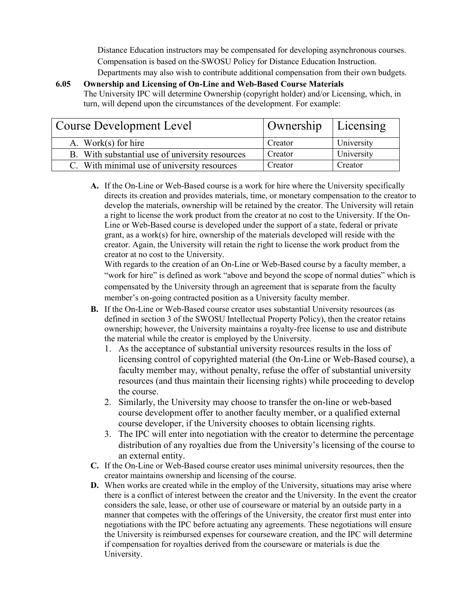Distance Education instructors may be compensated for developing asynchronous courses. Compensation is based on the SWOSU Policy for Distance Education Instruction. Departments may also wish to contribute additional compensation from their own budgets.

#### **6.05 Ownership and Licensing of On-Line and Web-Based Course Materials** The University IPC will determine Ownership (copyright holder) and/or Licensing, which, in turn, will depend upon the circumstances of the development. For example:

| <b>Course Development Level</b>                 | Ownership   Licensing |            |
|-------------------------------------------------|-----------------------|------------|
| A. Work $(s)$ for hire                          | Creator               | University |
| B. With substantial use of university resources | Creator               | University |
| C. With minimal use of university resources     | Creator               | Creator    |

**A.** If the On-Line or Web-Based course is a work for hire where the University specifically directs its creation and provides materials, time, or monetary compensation to the creator to develop the materials, ownership will be retained by the creator. The University will retain a right to license the work product from the creator at no cost to the University. If the On-Line or Web-Based course is developed under the support of a state, federal or private grant, as a work(s) for hire, ownership of the materials developed will reside with the creator. Again, the University will retain the right to license the work product from the creator at no cost to the University.

With regards to the creation of an On-Line or Web-Based course by a faculty member, a "work for hire" is defined as work "above and beyond the scope of normal duties" which is compensated by the University through an agreement that is separate from the faculty member's on-going contracted position as a University faculty member.

- **B.** If the On-Line or Web-Based course creator uses substantial University resources (as defined in section 3 of the SWOSU Intellectual Property Policy), then the creator retains ownership; however, the University maintains a royalty-free license to use and distribute the material while the creator is employed by the University.
	- 1. As the acceptance of substantial university resources results in the loss of licensing control of copyrighted material (the On-Line or Web-Based course), a faculty member may, without penalty, refuse the offer of substantial university resources (and thus maintain their licensing rights) while proceeding to develop the course.
	- 2. Similarly, the University may choose to transfer the on-line or web-based course development offer to another faculty member, or a qualified external course developer, if the University chooses to obtain licensing rights.
	- 3. The IPC will enter into negotiation with the creator to determine the percentage distribution of any royalties due from the University's licensing of the course to an external entity.
- **C.** If the On-Line or Web-Based course creator uses minimal university resources, then the creator maintains ownership and licensing of the course.
- **D.** When works are created while in the employ of the University, situations may arise where there is a conflict of interest between the creator and the University. In the event the creator considers the sale, lease, or other use of courseware or material by an outside party in a manner that competes with the offerings of the University, the creator first must enter into negotiations with the IPC before actuating any agreements. These negotiations will ensure the University is reimbursed expenses for courseware creation, and the IPC will determine if compensation for royalties derived from the courseware or materials is due the University.